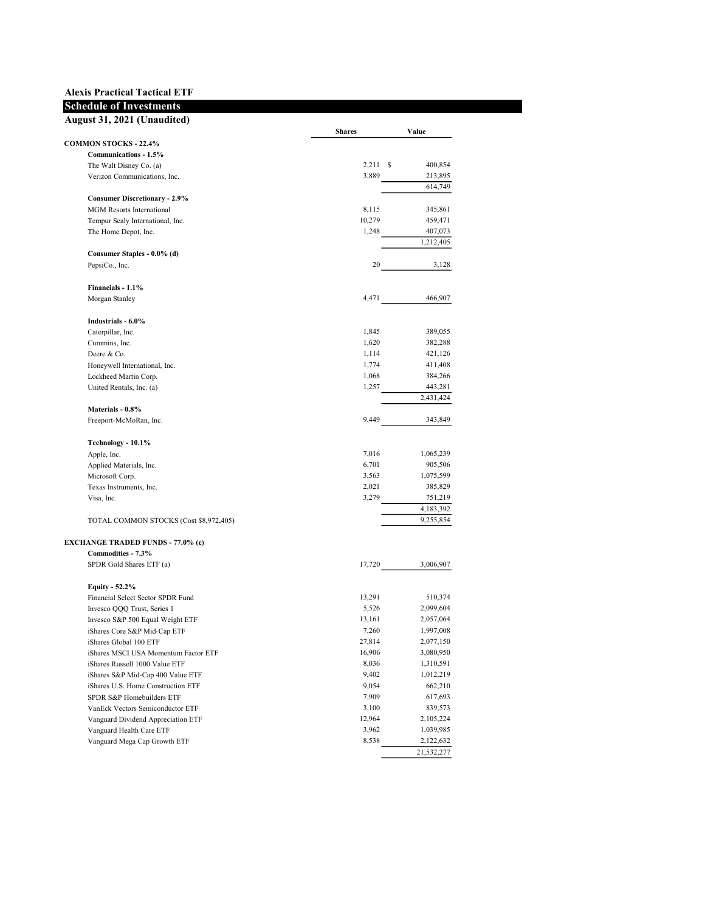## Alexis Practical Tactical ETF Schedule of Investments

## August 31, 2021 (Unaudited)

| August 31, 2021 (Unauuneu)               | <b>Shares</b> | Value      |
|------------------------------------------|---------------|------------|
| <b>COMMON STOCKS - 22.4%</b>             |               |            |
| Communications - 1.5%                    |               |            |
| The Walt Disney Co. (a)                  | $2,211$ \$    | 400,854    |
| Verizon Communications, Inc.             | 3,889         | 213,895    |
| <b>Consumer Discretionary - 2.9%</b>     |               | 614,749    |
| <b>MGM</b> Resorts International         | 8,115         | 345,861    |
| Tempur Sealy International, Inc.         | 10,279        | 459,471    |
| The Home Depot, Inc.                     | 1,248         | 407,073    |
|                                          |               | 1,212,405  |
| Consumer Staples - 0.0% (d)              |               |            |
| PepsiCo., Inc.                           | 20            | 3,128      |
| Financials - 1.1%                        |               |            |
| Morgan Stanley                           | 4,471         | 466,907    |
| Industrials - 6.0%                       |               |            |
| Caterpillar, Inc.                        | 1,845         | 389,055    |
| Cummins, Inc.                            | 1,620         | 382,288    |
| Deere & Co.                              | 1,114         | 421,126    |
| Honeywell International, Inc.            | 1,774         | 411,408    |
| Lockheed Martin Corp.                    | 1,068         | 384,266    |
| United Rentals, Inc. (a)                 | 1,257         | 443,281    |
|                                          |               | 2,431,424  |
| Materials - 0.8%                         |               |            |
| Freeport-McMoRan, Inc.                   | 9,449         | 343,849    |
| Technology - 10.1%                       |               |            |
| Apple, Inc.                              | 7,016         | 1,065,239  |
| Applied Materials, Inc.                  | 6,701         | 905,506    |
| Microsoft Corp.                          | 3,563         | 1,075,599  |
| Texas Instruments, Inc.                  | 2,021         | 385,829    |
| Visa, Inc.                               | 3,279         | 751,219    |
|                                          |               | 4,183,392  |
| TOTAL COMMON STOCKS (Cost \$8,972,405)   |               | 9,255,854  |
| <b>EXCHANGE TRADED FUNDS - 77.0% (c)</b> |               |            |
| Commodities - 7.3%                       |               |            |
| SPDR Gold Shares ETF (a)                 | 17,720        | 3,006,907  |
| <b>Equity - 52.2%</b>                    |               |            |
| Financial Select Sector SPDR Fund        | 13,291        | 510,374    |
| Invesco QQQ Trust, Series 1              | 5,526         | 2,099,604  |
| Invesco S&P 500 Equal Weight ETF         | 13,161        | 2,057,064  |
| iShares Core S&P Mid-Cap ETF             | 7,260         | 1,997,008  |
| iShares Global 100 ETF                   | 27,814        | 2,077,150  |
| iShares MSCI USA Momentum Factor ETF     | 16,906        | 3,080,950  |
| iShares Russell 1000 Value ETF           | 8,036         | 1,310,591  |
| iShares S&P Mid-Cap 400 Value ETF        | 9,402         | 1,012,219  |
| iShares U.S. Home Construction ETF       | 9,054         | 662,210    |
| SPDR S&P Homebuilders ETF                | 7,909         | 617,693    |
| VanEck Vectors Semiconductor ETF         | 3,100         | 839,573    |
| Vanguard Dividend Appreciation ETF       | 12,964        | 2,105,224  |
| Vanguard Health Care ETF                 | 3,962         | 1,039,985  |
| Vanguard Mega Cap Growth ETF             | 8,538         | 2,122,632  |
|                                          |               | 21,532,277 |